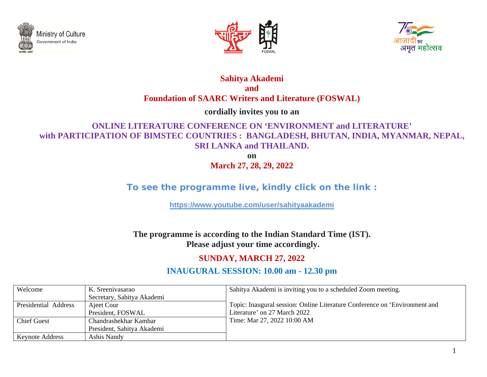





#### **Sahitya Akademi and Foundation of SAARC Writers and Literature (FOSWAL)**

**cordially invites you to an** 

## **ONLINE LITERATURE CONFERENCE ON 'ENVIRONMENT and LITERATURE' with PARTICIPATION OF BIMSTEC COUNTRIES : BANGLADESH, BHUTAN, INDIA, MYANMAR, NEPAL, SRI LANKA and THAILAND.**

**on** 

**March 27, 28, 29, 2022** 

# **To see the programme live, kindly click on the link :**

**https://www.youtube.com/user/sahityaakademi**

**The programme is according to the Indian Standard Time (IST). Please adjust your time accordingly.** 

## **SUNDAY, MARCH 27, 2022**

## **INAUGURAL SESSION: 10.00 am - 12.30 pm**

| Welcome                | K. Sreenivasarao           | Sahitya Akademi is inviting you to a scheduled Zoom meeting.               |
|------------------------|----------------------------|----------------------------------------------------------------------------|
|                        | Secretary, Sahitya Akademi |                                                                            |
| Presidential Address   | Ajeet Cour                 | Topic: Inaugural session: Online Literature Conference on 'Environment and |
|                        | President, FOSWAL          | Literature' on 27 March 2022                                               |
| <b>Chief Guest</b>     | Chandrashekhar Kambar      | Time: Mar 27, 2022 10:00 AM                                                |
|                        | President, Sahitya Akademi |                                                                            |
| <b>Keynote Address</b> | Ashis Nandy                |                                                                            |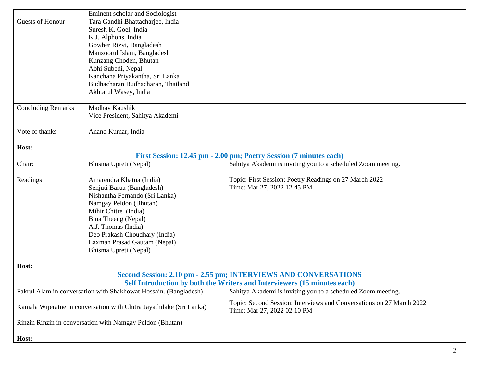|                                                                      | Eminent scholar and Sociologist   |                                                                                                     |  |
|----------------------------------------------------------------------|-----------------------------------|-----------------------------------------------------------------------------------------------------|--|
| Guests of Honour                                                     | Tara Gandhi Bhattacharjee, India  |                                                                                                     |  |
|                                                                      | Suresh K. Goel, India             |                                                                                                     |  |
|                                                                      | K.J. Alphons, India               |                                                                                                     |  |
|                                                                      | Gowher Rizvi, Bangladesh          |                                                                                                     |  |
|                                                                      | Manzoorul Islam, Bangladesh       |                                                                                                     |  |
|                                                                      | Kunzang Choden, Bhutan            |                                                                                                     |  |
|                                                                      | Abhi Subedi, Nepal                |                                                                                                     |  |
|                                                                      | Kanchana Priyakantha, Sri Lanka   |                                                                                                     |  |
|                                                                      | Budhacharan Budhacharan, Thailand |                                                                                                     |  |
|                                                                      | Akhtarul Wasey, India             |                                                                                                     |  |
|                                                                      |                                   |                                                                                                     |  |
| <b>Concluding Remarks</b>                                            | Madhav Kaushik                    |                                                                                                     |  |
|                                                                      | Vice President, Sahitya Akademi   |                                                                                                     |  |
| Vote of thanks                                                       | Anand Kumar, India                |                                                                                                     |  |
|                                                                      |                                   |                                                                                                     |  |
| Host:                                                                |                                   |                                                                                                     |  |
|                                                                      |                                   | First Session: 12.45 pm - 2.00 pm; Poetry Session (7 minutes each)                                  |  |
| Chair:                                                               | Bhisma Upreti (Nepal)             | Sahitya Akademi is inviting you to a scheduled Zoom meeting.                                        |  |
| Readings                                                             | Amarendra Khatua (India)          | Topic: First Session: Poetry Readings on 27 March 2022                                              |  |
|                                                                      | Senjuti Barua (Bangladesh)        | Time: Mar 27, 2022 12:45 PM                                                                         |  |
|                                                                      | Nishantha Fernando (Sri Lanka)    |                                                                                                     |  |
|                                                                      | Namgay Peldon (Bhutan)            |                                                                                                     |  |
|                                                                      | Mihir Chitre (India)              |                                                                                                     |  |
|                                                                      | Bina Theeng (Nepal)               |                                                                                                     |  |
|                                                                      | A.J. Thomas (India)               |                                                                                                     |  |
|                                                                      | Deo Prakash Choudhary (India)     |                                                                                                     |  |
|                                                                      | Laxman Prasad Gautam (Nepal)      |                                                                                                     |  |
|                                                                      | Bhisma Upreti (Nepal)             |                                                                                                     |  |
|                                                                      |                                   |                                                                                                     |  |
| Host:                                                                |                                   | Second Session: 2.10 pm - 2.55 pm; INTERVIEWS AND CONVERSATIONS                                     |  |
|                                                                      |                                   | Self Introduction by both the Writers and Interviewers (15 minutes each)                            |  |
| Fakrul Alam in conversation with Shakhowat Hossain. (Bangladesh)     |                                   | Sahitya Akademi is inviting you to a scheduled Zoom meeting.                                        |  |
| Kamala Wijeratne in conversation with Chitra Jayathilake (Sri Lanka) |                                   | Topic: Second Session: Interviews and Conversations on 27 March 2022<br>Time: Mar 27, 2022 02:10 PM |  |
| Rinzin Rinzin in conversation with Namgay Peldon (Bhutan)            |                                   |                                                                                                     |  |
| Host:                                                                |                                   |                                                                                                     |  |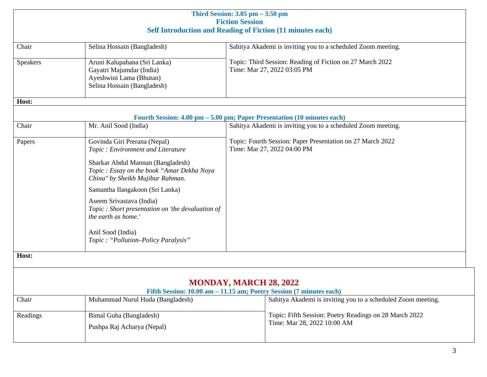| Third Session: $3.05$ pm $-3.50$ pm<br><b>Fiction Session</b>     |                                                                                                                                                                                                                                                                                                              |                               |                                                                                           |
|-------------------------------------------------------------------|--------------------------------------------------------------------------------------------------------------------------------------------------------------------------------------------------------------------------------------------------------------------------------------------------------------|-------------------------------|-------------------------------------------------------------------------------------------|
| <b>Self Introduction and Reading of Fiction (11 minutes each)</b> |                                                                                                                                                                                                                                                                                                              |                               |                                                                                           |
| Chair                                                             | Selina Hossain (Bangladesh)                                                                                                                                                                                                                                                                                  |                               | Sahitya Akademi is inviting you to a scheduled Zoom meeting.                              |
| <b>Speakers</b>                                                   | Aruni Kalupahana (Sri Lanka)<br>Gayatri Majumdar (India)<br>Ayeshwini Lama (Bhutan)<br>Selina Hossain (Bangladesh)                                                                                                                                                                                           |                               | Topic: Third Session: Reading of Fiction on 27 March 2022<br>Time: Mar 27, 2022 03:05 PM  |
| Host:                                                             |                                                                                                                                                                                                                                                                                                              |                               |                                                                                           |
|                                                                   | Fourth Session: 4.00 pm - 5.00 pm; Paper Presentation (10 minutes each)                                                                                                                                                                                                                                      |                               |                                                                                           |
| Chair                                                             | Mr. Anil Sood (India)                                                                                                                                                                                                                                                                                        |                               | Sahitya Akademi is inviting you to a scheduled Zoom meeting.                              |
| Papers                                                            | Govinda Giri Prerana (Nepal)<br>Topic: Environment and Literature<br>Sharkar Abdul Mannan (Bangladesh)<br>Topic : Essay on the book "Amar Dekha Noya<br>China" by Sheikh Mujibur Rahman.<br>Samantha Ilangakoon (Sri Lanka)<br>Aseem Srivastava (India)<br>Topic : Short presentation on 'the devaluation of |                               | Topic: Fourth Session: Paper Presentation on 27 March 2022<br>Time: Mar 27, 2022 04:00 PM |
| Host:                                                             | the earth as home.'<br>Anil Sood (India)<br>Topic: "Pollution-Policy Paralysis"                                                                                                                                                                                                                              |                               |                                                                                           |
|                                                                   |                                                                                                                                                                                                                                                                                                              |                               |                                                                                           |
|                                                                   | Fifth Session: 10.00 am - 11.15 am; Poetry Session (7 minutes each)                                                                                                                                                                                                                                          | <b>MONDAY, MARCH 28, 2022</b> |                                                                                           |
| Chair                                                             | Muhammad Nurul Huda (Bangladesh)                                                                                                                                                                                                                                                                             |                               | Sahitya Akademi is inviting you to a scheduled Zoom meeting.                              |
| Readings                                                          | Bimal Guha (Bangladesh)<br>Pushpa Raj Acharya (Nepal)                                                                                                                                                                                                                                                        |                               | Topic: Fifth Session: Poetry Readings on 28 March 2022<br>Time: Mar 28, 2022 10:00 AM     |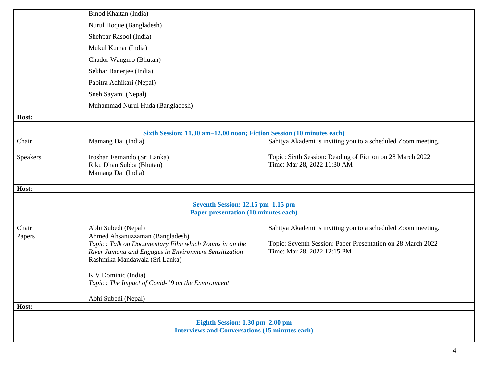|                                                       | Binod Khaitan (India)                                                                   |                                                                                            |  |
|-------------------------------------------------------|-----------------------------------------------------------------------------------------|--------------------------------------------------------------------------------------------|--|
|                                                       | Nurul Hoque (Bangladesh)                                                                |                                                                                            |  |
|                                                       | Shehpar Rasool (India)                                                                  |                                                                                            |  |
|                                                       | Mukul Kumar (India)                                                                     |                                                                                            |  |
|                                                       | Chador Wangmo (Bhutan)                                                                  |                                                                                            |  |
|                                                       | Sekhar Banerjee (India)                                                                 |                                                                                            |  |
|                                                       | Pabitra Adhikari (Nepal)                                                                |                                                                                            |  |
|                                                       | Sneh Sayami (Nepal)                                                                     |                                                                                            |  |
|                                                       | Muhammad Nurul Huda (Bangladesh)                                                        |                                                                                            |  |
| Host:                                                 |                                                                                         |                                                                                            |  |
|                                                       | Sixth Session: 11.30 am-12.00 noon; Fiction Session (10 minutes each)                   |                                                                                            |  |
| Chair                                                 | Mamang Dai (India)                                                                      | Sahitya Akademi is inviting you to a scheduled Zoom meeting.                               |  |
| <b>Speakers</b>                                       | Iroshan Fernando (Sri Lanka)                                                            | Topic: Sixth Session: Reading of Fiction on 28 March 2022                                  |  |
|                                                       | Riku Dhan Subba (Bhutan)                                                                | Time: Mar 28, 2022 11:30 AM                                                                |  |
|                                                       | Mamang Dai (India)                                                                      |                                                                                            |  |
| Host:                                                 |                                                                                         |                                                                                            |  |
|                                                       |                                                                                         |                                                                                            |  |
|                                                       | Seventh Session: 12.15 pm-1.15 pm<br><b>Paper presentation (10 minutes each)</b>        |                                                                                            |  |
| Chair                                                 | Abhi Subedi (Nepal)                                                                     | Sahitya Akademi is inviting you to a scheduled Zoom meeting.                               |  |
| Papers                                                | Ahmed Ahsanuzzaman (Bangladesh)                                                         |                                                                                            |  |
|                                                       | Topic : Talk on Documentary Film which Zooms in on the                                  | Topic: Seventh Session: Paper Presentation on 28 March 2022<br>Time: Mar 28, 2022 12:15 PM |  |
|                                                       | River Jamuna and Engages in Environment Sensitization<br>Rashmika Mandawala (Sri Lanka) |                                                                                            |  |
|                                                       |                                                                                         |                                                                                            |  |
|                                                       | K.V Dominic (India)                                                                     |                                                                                            |  |
|                                                       | Topic : The Impact of Covid-19 on the Environment                                       |                                                                                            |  |
|                                                       | Abhi Subedi (Nepal)                                                                     |                                                                                            |  |
| Host:                                                 |                                                                                         |                                                                                            |  |
|                                                       | Eighth Session: 1.30 pm-2.00 pm                                                         |                                                                                            |  |
| <b>Interviews and Conversations (15 minutes each)</b> |                                                                                         |                                                                                            |  |
|                                                       |                                                                                         |                                                                                            |  |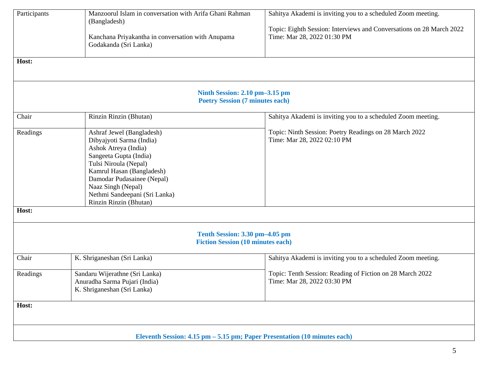| Participants<br>Host: | Manzoorul Islam in conversation with Arifa Ghani Rahman<br>(Bangladesh)<br>Kanchana Priyakantha in conversation with Anupama<br>Godakanda (Sri Lanka)<br>Ninth Session: 2.10 pm-3.15 pm<br><b>Poetry Session (7 minutes each)</b>                                            | Sahitya Akademi is inviting you to a scheduled Zoom meeting.<br>Topic: Eighth Session: Interviews and Conversations on 28 March 2022<br>Time: Mar 28, 2022 01:30 PM |
|-----------------------|------------------------------------------------------------------------------------------------------------------------------------------------------------------------------------------------------------------------------------------------------------------------------|---------------------------------------------------------------------------------------------------------------------------------------------------------------------|
| Chair                 | Rinzin Rinzin (Bhutan)                                                                                                                                                                                                                                                       | Sahitya Akademi is inviting you to a scheduled Zoom meeting.                                                                                                        |
| Readings              | Ashraf Jewel (Bangladesh)<br>Dibyajyoti Sarma (India)<br>Ashok Atreya (India)<br>Sangeeta Gupta (India)<br>Tulsi Niroula (Nepal)<br>Kamrul Hasan (Bangladesh)<br>Damodar Pudasainee (Nepal)<br>Naaz Singh (Nepal)<br>Nethmi Sandeepani (Sri Lanka)<br>Rinzin Rinzin (Bhutan) | Topic: Ninth Session: Poetry Readings on 28 March 2022<br>Time: Mar 28, 2022 02:10 PM                                                                               |
| Host:                 |                                                                                                                                                                                                                                                                              |                                                                                                                                                                     |
|                       | Tenth Session: 3.30 pm-4.05 pm<br><b>Fiction Session (10 minutes each)</b>                                                                                                                                                                                                   |                                                                                                                                                                     |
| Chair                 | K. Shriganeshan (Sri Lanka)                                                                                                                                                                                                                                                  | Sahitya Akademi is inviting you to a scheduled Zoom meeting.                                                                                                        |
| Readings              | Sandaru Wijerathne (Sri Lanka)<br>Anuradha Sarma Pujari (India)<br>K. Shriganeshan (Sri Lanka)                                                                                                                                                                               | Topic: Tenth Session: Reading of Fiction on 28 March 2022<br>Time: Mar 28, 2022 03:30 PM                                                                            |
| Host:                 |                                                                                                                                                                                                                                                                              |                                                                                                                                                                     |
|                       | Eleventh Session: 4.15 pm – 5.15 pm; Paper Presentation (10 minutes each)                                                                                                                                                                                                    |                                                                                                                                                                     |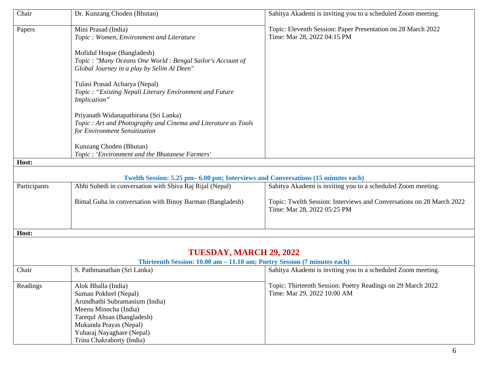| Chair        | Dr. Kunzang Choden (Bhutan)                                                                                                                                                                  | Sahitya Akademi is inviting you to a scheduled Zoom meeting.                                        |
|--------------|----------------------------------------------------------------------------------------------------------------------------------------------------------------------------------------------|-----------------------------------------------------------------------------------------------------|
| Papers       | Mini Prasad (India)<br>Topic: Women, Environment and Literature                                                                                                                              | Topic: Eleventh Session: Paper Presentation on 28 March 2022<br>Time: Mar 28, 2022 04:15 PM         |
|              | Mofidul Hoque (Bangladesh)<br>Topic: "Many Oceans One World: Bengal Sailor's Account of<br>Global Journey in a play by Selim Al Deen"                                                        |                                                                                                     |
|              | Tulasi Prasad Acharya (Nepal)<br>Topic: "Existing Nepali Literary Environment and Future<br>Implication"                                                                                     |                                                                                                     |
|              | Priyanath Widanapathirana (Sri Lanka)<br>Topic : Art and Photography and Cinema and Literature as Tools<br>for Environment Sensitization                                                     |                                                                                                     |
|              | Kunzang Choden (Bhutan)<br>Topic: 'Environment and the Bhutanese Farmers'                                                                                                                    |                                                                                                     |
| Host:        |                                                                                                                                                                                              |                                                                                                     |
|              |                                                                                                                                                                                              |                                                                                                     |
|              | Twelth Session: 5.25 pm – 6.00 pm; Interviews and Conversations (15 minutes each)                                                                                                            |                                                                                                     |
| Participants | Abhi Subedi in conversation with Shiva Raj Rijal (Nepal)                                                                                                                                     | Sahitya Akademi is inviting you to a scheduled Zoom meeting.                                        |
|              | Bimal Guha in conversation with Binoy Barman (Bangladesh)                                                                                                                                    | Topic: Twelth Session: Interviews and Conversations on 28 March 2022<br>Time: Mar 28, 2022 05:25 PM |
| Host:        |                                                                                                                                                                                              |                                                                                                     |
|              |                                                                                                                                                                                              |                                                                                                     |
|              | TUESDAY, MARCH 29, 2022                                                                                                                                                                      |                                                                                                     |
|              | Thirteenth Session: 10.00 am - 11.10 am; Poetry Session (7 minutes each)                                                                                                                     |                                                                                                     |
| Chair        | S. Pathmanathan (Sri Lanka)                                                                                                                                                                  | Sahitya Akademi is inviting you to a scheduled Zoom meeting.                                        |
| Readings     | Alok Bhalla (India)<br>Suman Pokhrel (Nepal)<br>Arundhathi Subramanium (India)<br>Meenu Minocha (India)<br>Tarequl Ahsan (Bangladesh)<br>Mukunda Prayas (Nepal)<br>Yubaraj Nayaghare (Nepal) | Topic: Thirteenth Session: Poetry Readings on 29 March 2022<br>Time: Mar 29, 2022 10:00 AM          |
|              | Trina Chakraborty (India)                                                                                                                                                                    |                                                                                                     |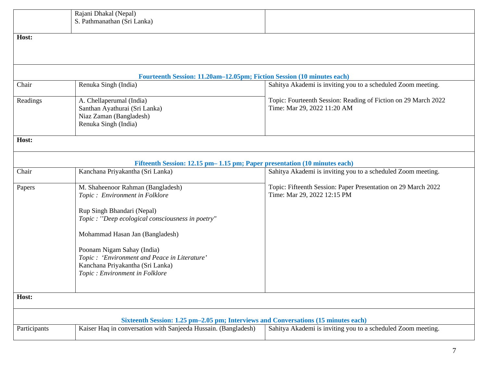|              | Rajani Dhakal (Nepal)                                                                                                                                |                                                                                              |
|--------------|------------------------------------------------------------------------------------------------------------------------------------------------------|----------------------------------------------------------------------------------------------|
|              | S. Pathmanathan (Sri Lanka)                                                                                                                          |                                                                                              |
|              |                                                                                                                                                      |                                                                                              |
| Host:        |                                                                                                                                                      |                                                                                              |
|              |                                                                                                                                                      |                                                                                              |
|              |                                                                                                                                                      |                                                                                              |
|              |                                                                                                                                                      |                                                                                              |
|              | Fourteenth Session: 11.20am-12.05pm; Fiction Session (10 minutes each)                                                                               |                                                                                              |
| Chair        | Renuka Singh (India)                                                                                                                                 | Sahitya Akademi is inviting you to a scheduled Zoom meeting.                                 |
|              |                                                                                                                                                      |                                                                                              |
| Readings     | A. Chellaperumal (India)                                                                                                                             | Topic: Fourteenth Session: Reading of Fiction on 29 March 2022                               |
|              | Santhan Ayathurai (Sri Lanka)                                                                                                                        | Time: Mar 29, 2022 11:20 AM                                                                  |
|              | Niaz Zaman (Bangladesh)                                                                                                                              |                                                                                              |
|              | Renuka Singh (India)                                                                                                                                 |                                                                                              |
| Host:        |                                                                                                                                                      |                                                                                              |
|              |                                                                                                                                                      |                                                                                              |
|              |                                                                                                                                                      |                                                                                              |
|              | Fifteenth Session: 12.15 pm- 1.15 pm; Paper presentation (10 minutes each)                                                                           |                                                                                              |
| Chair        | Kanchana Priyakantha (Sri Lanka)                                                                                                                     | Sahitya Akademi is inviting you to a scheduled Zoom meeting.                                 |
|              |                                                                                                                                                      |                                                                                              |
| Papers       | M. Shaheenoor Rahman (Bangladesh)                                                                                                                    | Topic: Fifteenth Session: Paper Presentation on 29 March 2022<br>Time: Mar 29, 2022 12:15 PM |
|              | Topic: Environment in Folklore                                                                                                                       |                                                                                              |
|              | Rup Singh Bhandari (Nepal)                                                                                                                           |                                                                                              |
|              | Topic : "Deep ecological consciousness in poetry"                                                                                                    |                                                                                              |
|              |                                                                                                                                                      |                                                                                              |
|              | Mohammad Hasan Jan (Bangladesh)                                                                                                                      |                                                                                              |
|              |                                                                                                                                                      |                                                                                              |
|              | Poonam Nigam Sahay (India)                                                                                                                           |                                                                                              |
|              | Topic : 'Environment and Peace in Literature'                                                                                                        |                                                                                              |
|              | Kanchana Priyakantha (Sri Lanka)                                                                                                                     |                                                                                              |
|              | Topic : Environment in Folklore                                                                                                                      |                                                                                              |
|              |                                                                                                                                                      |                                                                                              |
| Host:        |                                                                                                                                                      |                                                                                              |
|              |                                                                                                                                                      |                                                                                              |
|              |                                                                                                                                                      |                                                                                              |
| Participants | Sixteenth Session: 1.25 pm-2.05 pm; Interviews and Conversations (15 minutes each)<br>Kaiser Haq in conversation with Sanjeeda Hussain. (Bangladesh) | Sahitya Akademi is inviting you to a scheduled Zoom meeting.                                 |
|              |                                                                                                                                                      |                                                                                              |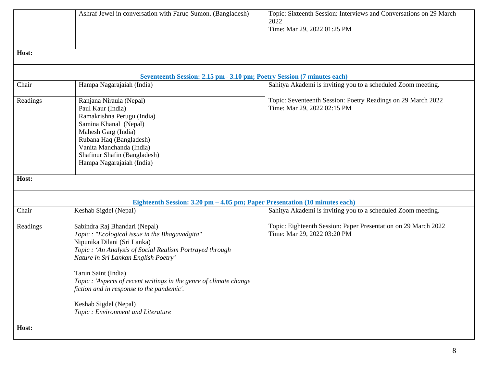|          | Ashraf Jewel in conversation with Faruq Sumon. (Bangladesh)                                                                                                                                                                                                                                                                                                                                                               | Topic: Sixteenth Session: Interviews and Conversations on 29 March<br>2022<br>Time: Mar 29, 2022 01:25 PM |
|----------|---------------------------------------------------------------------------------------------------------------------------------------------------------------------------------------------------------------------------------------------------------------------------------------------------------------------------------------------------------------------------------------------------------------------------|-----------------------------------------------------------------------------------------------------------|
| Host:    |                                                                                                                                                                                                                                                                                                                                                                                                                           |                                                                                                           |
|          | Seventeenth Session: 2.15 pm - 3.10 pm; Poetry Session (7 minutes each)                                                                                                                                                                                                                                                                                                                                                   |                                                                                                           |
| Chair    | Hampa Nagarajaiah (India)                                                                                                                                                                                                                                                                                                                                                                                                 | Sahitya Akademi is inviting you to a scheduled Zoom meeting.                                              |
| Readings | Ranjana Niraula (Nepal)<br>Paul Kaur (India)<br>Ramakrishna Perugu (India)<br>Samina Khanal (Nepal)<br>Mahesh Garg (India)<br>Rubana Haq (Bangladesh)<br>Vanita Manchanda (India)<br>Shafinur Shafin (Bangladesh)<br>Hampa Nagarajaiah (India)                                                                                                                                                                            | Topic: Seventeenth Session: Poetry Readings on 29 March 2022<br>Time: Mar 29, 2022 02:15 PM               |
| Host:    |                                                                                                                                                                                                                                                                                                                                                                                                                           |                                                                                                           |
|          | Eighteenth Session: 3.20 pm - 4.05 pm; Paper Presentation (10 minutes each)                                                                                                                                                                                                                                                                                                                                               |                                                                                                           |
| Chair    | Keshab Sigdel (Nepal)                                                                                                                                                                                                                                                                                                                                                                                                     | Sahitya Akademi is inviting you to a scheduled Zoom meeting.                                              |
| Readings | Sabindra Raj Bhandari (Nepal)<br>Topic : "Ecological issue in the Bhagavadgita"<br>Nipunika Dilani (Sri Lanka)<br>Topic: 'An Analysis of Social Realism Portrayed through<br>Nature in Sri Lankan English Poetry'<br>Tarun Saint (India)<br>Topic : 'Aspects of recent writings in the genre of climate change<br>fiction and in response to the pandemic'.<br>Keshab Sigdel (Nepal)<br>Topic: Environment and Literature | Topic: Eighteenth Session: Paper Presentation on 29 March 2022<br>Time: Mar 29, 2022 03:20 PM             |
| Host:    |                                                                                                                                                                                                                                                                                                                                                                                                                           |                                                                                                           |